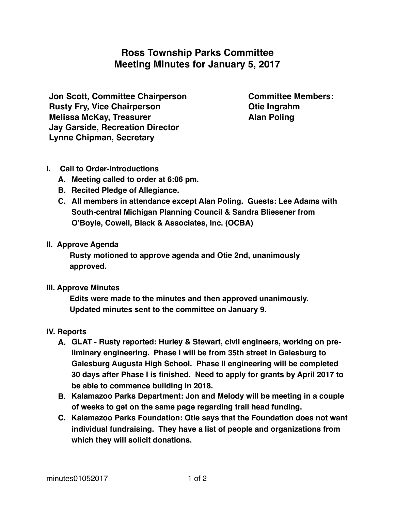# **Ross Township Parks Committee Meeting Minutes for January 5, 2017**

**Jon Scott, Committee Chairperson Rusty Fry, Vice Chairperson Melissa McKay, Treasurer Jay Garside, Recreation Director Lynne Chipman, Secretary**

**Committee Members: Otie Ingrahm Alan Poling**

## **I. Call to Order-Introductions**

- **A. Meeting called to order at 6:06 pm.**
- **B. Recited Pledge of Allegiance.**
- **C. All members in attendance except Alan Poling. Guests: Lee Adams with South-central Michigan Planning Council & Sandra Bliesener from O'Boyle, Cowell, Black & Associates, Inc. (OCBA)**

## **II. Approve Agenda**

**Rusty motioned to approve agenda and Otie 2nd, unanimously approved.**

## **III. Approve Minutes**

**Edits were made to the minutes and then approved unanimously. Updated minutes sent to the committee on January 9.**

## **IV. Reports**

- **A. GLAT Rusty reported: Hurley & Stewart, civil engineers, working on preliminary engineering. Phase I will be from 35th street in Galesburg to Galesburg Augusta High School. Phase II engineering will be completed 30 days after Phase I is finished. Need to apply for grants by April 2017 to be able to commence building in 2018.**
- **B. Kalamazoo Parks Department: Jon and Melody will be meeting in a couple of weeks to get on the same page regarding trail head funding.**
- **C. Kalamazoo Parks Foundation: Otie says that the Foundation does not want individual fundraising. They have a list of people and organizations from which they will solicit donations.**